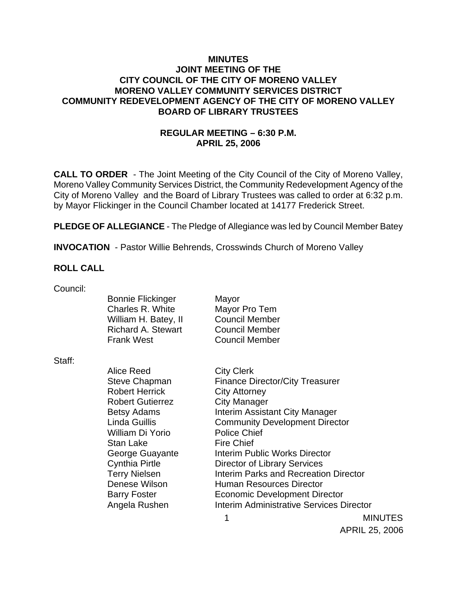### **MINUTES JOINT MEETING OF THE CITY COUNCIL OF THE CITY OF MORENO VALLEY MORENO VALLEY COMMUNITY SERVICES DISTRICT COMMUNITY REDEVELOPMENT AGENCY OF THE CITY OF MORENO VALLEY BOARD OF LIBRARY TRUSTEES**

## **REGULAR MEETING – 6:30 P.M. APRIL 25, 2006**

**CALL TO ORDER** - The Joint Meeting of the City Council of the City of Moreno Valley, Moreno Valley Community Services District, the Community Redevelopment Agency of the City of Moreno Valley and the Board of Library Trustees was called to order at 6:32 p.m. by Mayor Flickinger in the Council Chamber located at 14177 Frederick Street.

**PLEDGE OF ALLEGIANCE** - The Pledge of Allegiance was led by Council Member Batey

**INVOCATION** - Pastor Willie Behrends, Crosswinds Church of Moreno Valley

#### **ROLL CALL**

| Council: |                           |                                        |
|----------|---------------------------|----------------------------------------|
|          | <b>Bonnie Flickinger</b>  | Mayor                                  |
|          | Charles R. White          | Mayor Pro Tem                          |
|          | William H. Batey, II      | <b>Council Member</b>                  |
|          | <b>Richard A. Stewart</b> | <b>Council Member</b>                  |
|          | <b>Frank West</b>         | <b>Council Member</b>                  |
| Staff:   |                           |                                        |
|          | Alice Reed                | <b>City Clerk</b>                      |
|          | Steve Chapman             | <b>Finance Director/City Treasurer</b> |
|          | <b>Robert Herrick</b>     | <b>City Attorney</b>                   |
|          | <b>Robert Gutierrez</b>   | <b>City Manager</b>                    |
|          | <b>Betsy Adams</b>        | <b>Interim Assistant City Manager</b>  |
|          | <b>Linda Guillis</b>      | <b>Community Development Director</b>  |
|          | William Di Yorio          | <b>Police Chief</b>                    |
|          | <b>Stan Lake</b>          | <b>Fire Chief</b>                      |
|          | George Guayante           | Interim Public Works Director          |
|          | <b>Cynthia Pirtle</b>     | Director of Library Services           |
|          | <b>Terry Nielsen</b>      | Interim Parks and Recreation Director  |
|          | Denese Wilson             | Human Resources Director               |

Barry Foster **Economic Development Director** 

Angela Rushen Interim Administrative Services Director

1 MINUTES APRIL 25, 2006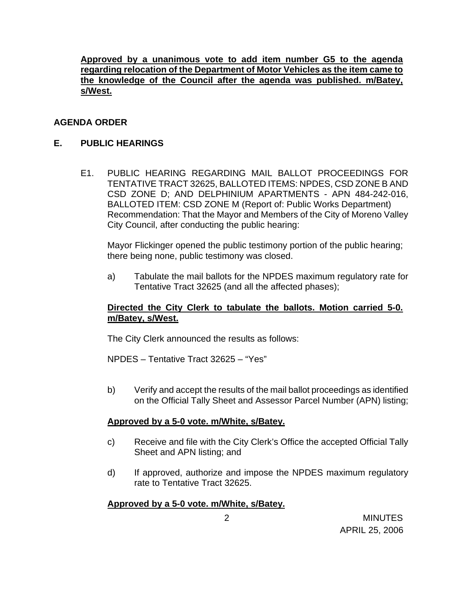**Approved by a unanimous vote to add item number G5 to the agenda regarding relocation of the Department of Motor Vehicles as the item came to the knowledge of the Council after the agenda was published. m/Batey, s/West.**

## **AGENDA ORDER**

### **E. PUBLIC HEARINGS**

E1. PUBLIC HEARING REGARDING MAIL BALLOT PROCEEDINGS FOR TENTATIVE TRACT 32625, BALLOTED ITEMS: NPDES, CSD ZONE B AND CSD ZONE D; AND DELPHINIUM APARTMENTS - APN 484-242-016, BALLOTED ITEM: CSD ZONE M (Report of: Public Works Department) Recommendation: That the Mayor and Members of the City of Moreno Valley City Council, after conducting the public hearing:

 Mayor Flickinger opened the public testimony portion of the public hearing; there being none, public testimony was closed.

a) Tabulate the mail ballots for the NPDES maximum regulatory rate for Tentative Tract 32625 (and all the affected phases);

### **Directed the City Clerk to tabulate the ballots. Motion carried 5-0. m/Batey, s/West.**

The City Clerk announced the results as follows:

NPDES – Tentative Tract 32625 – "Yes"

b) Verify and accept the results of the mail ballot proceedings as identified on the Official Tally Sheet and Assessor Parcel Number (APN) listing;

### **Approved by a 5-0 vote. m/White, s/Batey.**

- c) Receive and file with the City Clerk's Office the accepted Official Tally Sheet and APN listing; and
- d) If approved, authorize and impose the NPDES maximum regulatory rate to Tentative Tract 32625.

### **Approved by a 5-0 vote. m/White, s/Batey.**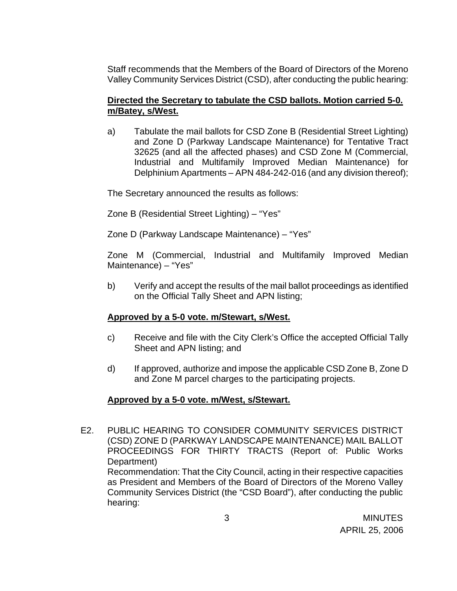Staff recommends that the Members of the Board of Directors of the Moreno Valley Community Services District (CSD), after conducting the public hearing:

## **Directed the Secretary to tabulate the CSD ballots. Motion carried 5-0. m/Batey, s/West.**

a) Tabulate the mail ballots for CSD Zone B (Residential Street Lighting) and Zone D (Parkway Landscape Maintenance) for Tentative Tract 32625 (and all the affected phases) and CSD Zone M (Commercial, Industrial and Multifamily Improved Median Maintenance) for Delphinium Apartments – APN 484-242-016 (and any division thereof);

The Secretary announced the results as follows:

Zone B (Residential Street Lighting) – "Yes"

Zone D (Parkway Landscape Maintenance) – "Yes"

 Zone M (Commercial, Industrial and Multifamily Improved Median Maintenance) – "Yes"

b) Verify and accept the results of the mail ballot proceedings as identified on the Official Tally Sheet and APN listing;

## **Approved by a 5-0 vote. m/Stewart, s/West.**

- c) Receive and file with the City Clerk's Office the accepted Official Tally Sheet and APN listing; and
- d) If approved, authorize and impose the applicable CSD Zone B, Zone D and Zone M parcel charges to the participating projects.

## **Approved by a 5-0 vote. m/West, s/Stewart.**

E2. PUBLIC HEARING TO CONSIDER COMMUNITY SERVICES DISTRICT (CSD) ZONE D (PARKWAY LANDSCAPE MAINTENANCE) MAIL BALLOT PROCEEDINGS FOR THIRTY TRACTS (Report of: Public Works Department) Recommendation: That the City Council, acting in their respective capacities as President and Members of the Board of Directors of the Moreno Valley Community Services District (the "CSD Board"), after conducting the public hearing: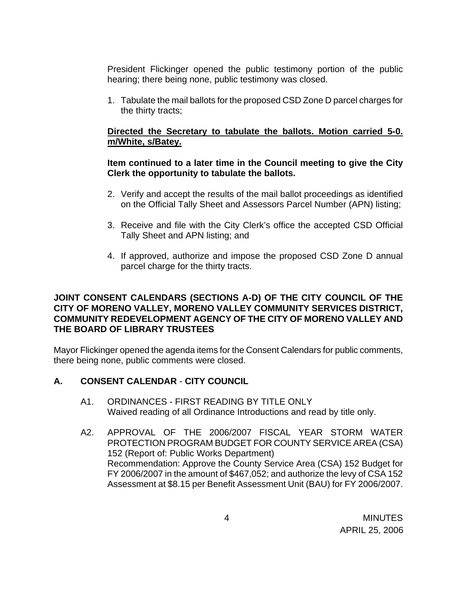President Flickinger opened the public testimony portion of the public hearing; there being none, public testimony was closed.

1. Tabulate the mail ballots for the proposed CSD Zone D parcel charges for the thirty tracts;

## **Directed the Secretary to tabulate the ballots. Motion carried 5-0. m/White, s/Batey.**

### **Item continued to a later time in the Council meeting to give the City Clerk the opportunity to tabulate the ballots.**

- 2. Verify and accept the results of the mail ballot proceedings as identified on the Official Tally Sheet and Assessors Parcel Number (APN) listing;
- 3. Receive and file with the City Clerk's office the accepted CSD Official Tally Sheet and APN listing; and
- 4. If approved, authorize and impose the proposed CSD Zone D annual parcel charge for the thirty tracts.

### **JOINT CONSENT CALENDARS (SECTIONS A-D) OF THE CITY COUNCIL OF THE CITY OF MORENO VALLEY, MORENO VALLEY COMMUNITY SERVICES DISTRICT, COMMUNITY REDEVELOPMENT AGENCY OF THE CITY OF MORENO VALLEY AND THE BOARD OF LIBRARY TRUSTEES**

Mayor Flickinger opened the agenda items for the Consent Calendars for public comments, there being none, public comments were closed.

## **A. CONSENT CALENDAR** - **CITY COUNCIL**

- A1. ORDINANCES FIRST READING BY TITLE ONLY Waived reading of all Ordinance Introductions and read by title only.
- A2. APPROVAL OF THE 2006/2007 FISCAL YEAR STORM WATER PROTECTION PROGRAM BUDGET FOR COUNTY SERVICE AREA (CSA) 152 (Report of: Public Works Department) Recommendation: Approve the County Service Area (CSA) 152 Budget for FY 2006/2007 in the amount of \$467,052; and authorize the levy of CSA 152 Assessment at \$8.15 per Benefit Assessment Unit (BAU) for FY 2006/2007.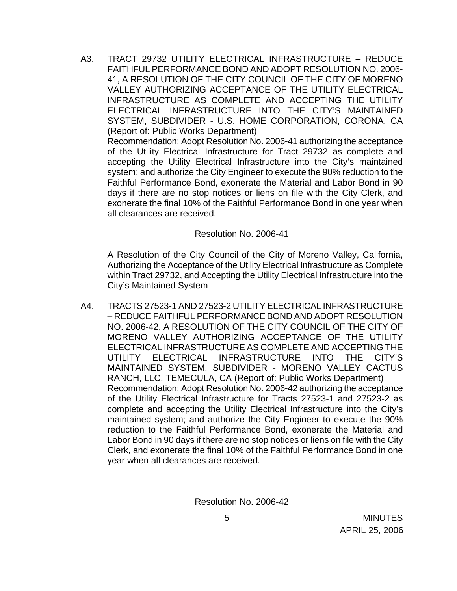A3. TRACT 29732 UTILITY ELECTRICAL INFRASTRUCTURE – REDUCE FAITHFUL PERFORMANCE BOND AND ADOPT RESOLUTION NO. 2006- 41, A RESOLUTION OF THE CITY COUNCIL OF THE CITY OF MORENO VALLEY AUTHORIZING ACCEPTANCE OF THE UTILITY ELECTRICAL INFRASTRUCTURE AS COMPLETE AND ACCEPTING THE UTILITY ELECTRICAL INFRASTRUCTURE INTO THE CITY'S MAINTAINED SYSTEM, SUBDIVIDER - U.S. HOME CORPORATION, CORONA, CA (Report of: Public Works Department)

 Recommendation: Adopt Resolution No. 2006-41 authorizing the acceptance of the Utility Electrical Infrastructure for Tract 29732 as complete and accepting the Utility Electrical Infrastructure into the City's maintained system; and authorize the City Engineer to execute the 90% reduction to the Faithful Performance Bond, exonerate the Material and Labor Bond in 90 days if there are no stop notices or liens on file with the City Clerk, and exonerate the final 10% of the Faithful Performance Bond in one year when all clearances are received.

#### Resolution No. 2006-41

 A Resolution of the City Council of the City of Moreno Valley, California, Authorizing the Acceptance of the Utility Electrical Infrastructure as Complete within Tract 29732, and Accepting the Utility Electrical Infrastructure into the City's Maintained System

A4. TRACTS 27523-1 AND 27523-2 UTILITY ELECTRICAL INFRASTRUCTURE – REDUCE FAITHFUL PERFORMANCE BOND AND ADOPT RESOLUTION NO. 2006-42, A RESOLUTION OF THE CITY COUNCIL OF THE CITY OF MORENO VALLEY AUTHORIZING ACCEPTANCE OF THE UTILITY ELECTRICAL INFRASTRUCTURE AS COMPLETE AND ACCEPTING THE UTILITY ELECTRICAL INFRASTRUCTURE INTO THE CITY'S MAINTAINED SYSTEM, SUBDIVIDER - MORENO VALLEY CACTUS RANCH, LLC, TEMECULA, CA (Report of: Public Works Department) Recommendation: Adopt Resolution No. 2006-42 authorizing the acceptance of the Utility Electrical Infrastructure for Tracts 27523-1 and 27523-2 as complete and accepting the Utility Electrical Infrastructure into the City's maintained system; and authorize the City Engineer to execute the 90% reduction to the Faithful Performance Bond, exonerate the Material and Labor Bond in 90 days if there are no stop notices or liens on file with the City Clerk, and exonerate the final 10% of the Faithful Performance Bond in one year when all clearances are received.

Resolution No. 2006-42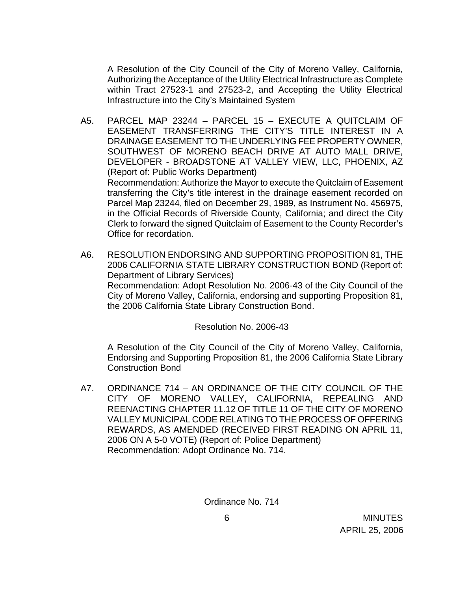A Resolution of the City Council of the City of Moreno Valley, California, Authorizing the Acceptance of the Utility Electrical Infrastructure as Complete within Tract 27523-1 and 27523-2, and Accepting the Utility Electrical Infrastructure into the City's Maintained System

- A5. PARCEL MAP 23244 PARCEL 15 EXECUTE A QUITCLAIM OF EASEMENT TRANSFERRING THE CITY'S TITLE INTEREST IN A DRAINAGE EASEMENT TO THE UNDERLYING FEE PROPERTY OWNER, SOUTHWEST OF MORENO BEACH DRIVE AT AUTO MALL DRIVE, DEVELOPER - BROADSTONE AT VALLEY VIEW, LLC, PHOENIX, AZ (Report of: Public Works Department) Recommendation: Authorize the Mayor to execute the Quitclaim of Easement transferring the City's title interest in the drainage easement recorded on Parcel Map 23244, filed on December 29, 1989, as Instrument No. 456975, in the Official Records of Riverside County, California; and direct the City Clerk to forward the signed Quitclaim of Easement to the County Recorder's Office for recordation.
- A6. RESOLUTION ENDORSING AND SUPPORTING PROPOSITION 81, THE 2006 CALIFORNIA STATE LIBRARY CONSTRUCTION BOND (Report of: Department of Library Services) Recommendation: Adopt Resolution No. 2006-43 of the City Council of the City of Moreno Valley, California, endorsing and supporting Proposition 81, the 2006 California State Library Construction Bond.

Resolution No. 2006-43

 A Resolution of the City Council of the City of Moreno Valley, California, Endorsing and Supporting Proposition 81, the 2006 California State Library Construction Bond

A7. ORDINANCE 714 – AN ORDINANCE OF THE CITY COUNCIL OF THE CITY OF MORENO VALLEY, CALIFORNIA, REPEALING AND REENACTING CHAPTER 11.12 OF TITLE 11 OF THE CITY OF MORENO VALLEY MUNICIPAL CODE RELATING TO THE PROCESS OF OFFERING REWARDS, AS AMENDED (RECEIVED FIRST READING ON APRIL 11, 2006 ON A 5-0 VOTE) (Report of: Police Department) Recommendation: Adopt Ordinance No. 714.

Ordinance No. 714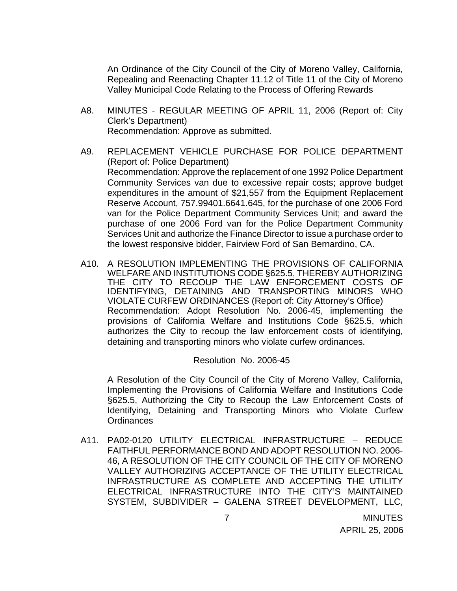An Ordinance of the City Council of the City of Moreno Valley, California, Repealing and Reenacting Chapter 11.12 of Title 11 of the City of Moreno Valley Municipal Code Relating to the Process of Offering Rewards

- A8. MINUTES REGULAR MEETING OF APRIL 11, 2006 (Report of: City Clerk's Department) Recommendation: Approve as submitted.
- A9. REPLACEMENT VEHICLE PURCHASE FOR POLICE DEPARTMENT (Report of: Police Department) Recommendation: Approve the replacement of one 1992 Police Department Community Services van due to excessive repair costs; approve budget expenditures in the amount of \$21,557 from the Equipment Replacement Reserve Account, 757.99401.6641.645, for the purchase of one 2006 Ford van for the Police Department Community Services Unit; and award the purchase of one 2006 Ford van for the Police Department Community Services Unit and authorize the Finance Director to issue a purchase order to the lowest responsive bidder, Fairview Ford of San Bernardino, CA.
- A10. A RESOLUTION IMPLEMENTING THE PROVISIONS OF CALIFORNIA WELFARE AND INSTITUTIONS CODE §625.5, THEREBY AUTHORIZING THE CITY TO RECOUP THE LAW ENFORCEMENT COSTS OF IDENTIFYING, DETAINING AND TRANSPORTING MINORS WHO VIOLATE CURFEW ORDINANCES (Report of: City Attorney's Office) Recommendation: Adopt Resolution No. 2006-45, implementing the provisions of California Welfare and Institutions Code §625.5, which authorizes the City to recoup the law enforcement costs of identifying, detaining and transporting minors who violate curfew ordinances.

Resolution No. 2006-45

A Resolution of the City Council of the City of Moreno Valley, California, Implementing the Provisions of California Welfare and Institutions Code §625.5, Authorizing the City to Recoup the Law Enforcement Costs of Identifying, Detaining and Transporting Minors who Violate Curfew **Ordinances** 

A11. PA02-0120 UTILITY ELECTRICAL INFRASTRUCTURE – REDUCE FAITHFUL PERFORMANCE BOND AND ADOPT RESOLUTION NO. 2006- 46, A RESOLUTION OF THE CITY COUNCIL OF THE CITY OF MORENO VALLEY AUTHORIZING ACCEPTANCE OF THE UTILITY ELECTRICAL INFRASTRUCTURE AS COMPLETE AND ACCEPTING THE UTILITY ELECTRICAL INFRASTRUCTURE INTO THE CITY'S MAINTAINED SYSTEM, SUBDIVIDER – GALENA STREET DEVELOPMENT, LLC,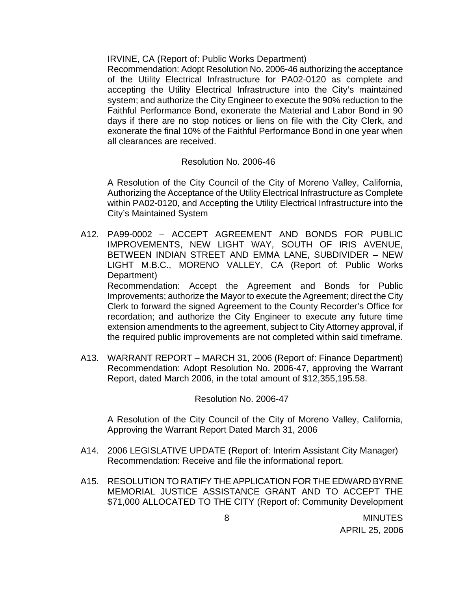IRVINE, CA (Report of: Public Works Department)

 Recommendation: Adopt Resolution No. 2006-46 authorizing the acceptance of the Utility Electrical Infrastructure for PA02-0120 as complete and accepting the Utility Electrical Infrastructure into the City's maintained system; and authorize the City Engineer to execute the 90% reduction to the Faithful Performance Bond, exonerate the Material and Labor Bond in 90 days if there are no stop notices or liens on file with the City Clerk, and exonerate the final 10% of the Faithful Performance Bond in one year when all clearances are received.

### Resolution No. 2006-46

A Resolution of the City Council of the City of Moreno Valley, California, Authorizing the Acceptance of the Utility Electrical Infrastructure as Complete within PA02-0120, and Accepting the Utility Electrical Infrastructure into the City's Maintained System

- A12. PA99-0002 ACCEPT AGREEMENT AND BONDS FOR PUBLIC IMPROVEMENTS, NEW LIGHT WAY, SOUTH OF IRIS AVENUE, BETWEEN INDIAN STREET AND EMMA LANE, SUBDIVIDER – NEW LIGHT M.B.C., MORENO VALLEY, CA (Report of: Public Works Department) Recommendation: Accept the Agreement and Bonds for Public Improvements; authorize the Mayor to execute the Agreement; direct the City Clerk to forward the signed Agreement to the County Recorder's Office for recordation; and authorize the City Engineer to execute any future time extension amendments to the agreement, subject to City Attorney approval, if the required public improvements are not completed within said timeframe.
- A13. WARRANT REPORT MARCH 31, 2006 (Report of: Finance Department) Recommendation: Adopt Resolution No. 2006-47, approving the Warrant Report, dated March 2006, in the total amount of \$12,355,195.58.

#### Resolution No. 2006-47

A Resolution of the City Council of the City of Moreno Valley, California, Approving the Warrant Report Dated March 31, 2006

- A14. 2006 LEGISLATIVE UPDATE (Report of: Interim Assistant City Manager) Recommendation: Receive and file the informational report.
- A15. RESOLUTION TO RATIFY THE APPLICATION FOR THE EDWARD BYRNE MEMORIAL JUSTICE ASSISTANCE GRANT AND TO ACCEPT THE \$71,000 ALLOCATED TO THE CITY (Report of: Community Development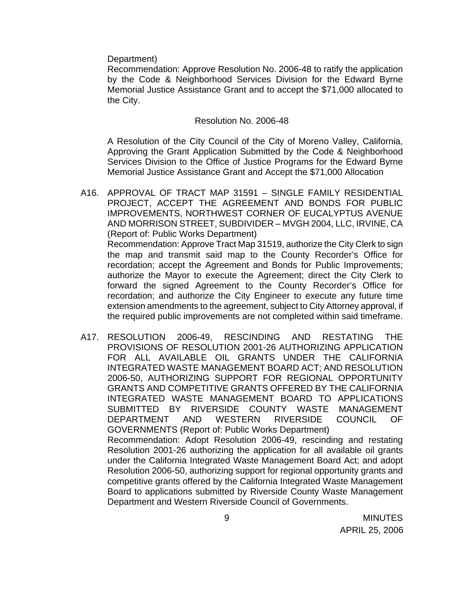Department)

 Recommendation: Approve Resolution No. 2006-48 to ratify the application by the Code & Neighborhood Services Division for the Edward Byrne Memorial Justice Assistance Grant and to accept the \$71,000 allocated to the City.

#### Resolution No. 2006-48

A Resolution of the City Council of the City of Moreno Valley, California, Approving the Grant Application Submitted by the Code & Neighborhood Services Division to the Office of Justice Programs for the Edward Byrne Memorial Justice Assistance Grant and Accept the \$71,000 Allocation

- A16. APPROVAL OF TRACT MAP 31591 SINGLE FAMILY RESIDENTIAL PROJECT, ACCEPT THE AGREEMENT AND BONDS FOR PUBLIC IMPROVEMENTS, NORTHWEST CORNER OF EUCALYPTUS AVENUE AND MORRISON STREET, SUBDIVIDER – MVGH 2004, LLC, IRVINE, CA (Report of: Public Works Department) Recommendation: Approve Tract Map 31519, authorize the City Clerk to sign the map and transmit said map to the County Recorder's Office for recordation; accept the Agreement and Bonds for Public Improvements; authorize the Mayor to execute the Agreement; direct the City Clerk to forward the signed Agreement to the County Recorder's Office for recordation; and authorize the City Engineer to execute any future time extension amendments to the agreement, subject to City Attorney approval, if the required public improvements are not completed within said timeframe.
- A17. RESOLUTION 2006-49, RESCINDING AND RESTATING THE PROVISIONS OF RESOLUTION 2001-26 AUTHORIZING APPLICATION FOR ALL AVAILABLE OIL GRANTS UNDER THE CALIFORNIA INTEGRATED WASTE MANAGEMENT BOARD ACT; AND RESOLUTION 2006-50, AUTHORIZING SUPPORT FOR REGIONAL OPPORTUNITY GRANTS AND COMPETITIVE GRANTS OFFERED BY THE CALIFORNIA INTEGRATED WASTE MANAGEMENT BOARD TO APPLICATIONS SUBMITTED BY RIVERSIDE COUNTY WASTE MANAGEMENT DEPARTMENT AND WESTERN RIVERSIDE COUNCIL OF GOVERNMENTS (Report of: Public Works Department) Recommendation: Adopt Resolution 2006-49, rescinding and restating Resolution 2001-26 authorizing the application for all available oil grants under the California Integrated Waste Management Board Act; and adopt Resolution 2006-50, authorizing support for regional opportunity grants and competitive grants offered by the California Integrated Waste Management Board to applications submitted by Riverside County Waste Management

Department and Western Riverside Council of Governments.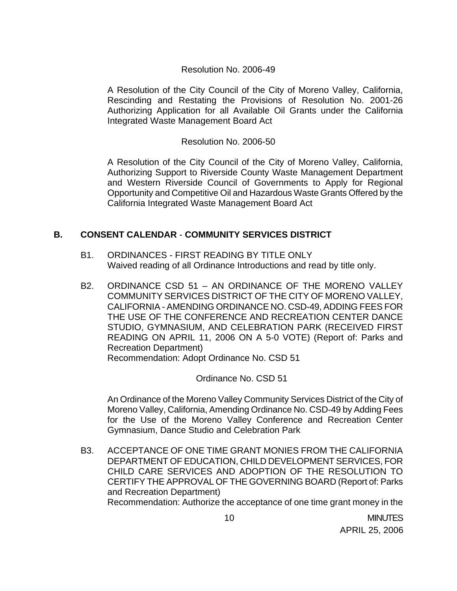### Resolution No. 2006-49

A Resolution of the City Council of the City of Moreno Valley, California, Rescinding and Restating the Provisions of Resolution No. 2001-26 Authorizing Application for all Available Oil Grants under the California Integrated Waste Management Board Act

### Resolution No. 2006-50

A Resolution of the City Council of the City of Moreno Valley, California, Authorizing Support to Riverside County Waste Management Department and Western Riverside Council of Governments to Apply for Regional Opportunity and Competitive Oil and Hazardous Waste Grants Offered by the California Integrated Waste Management Board Act

## **B. CONSENT CALENDAR** - **COMMUNITY SERVICES DISTRICT**

- B1. ORDINANCES FIRST READING BY TITLE ONLY Waived reading of all Ordinance Introductions and read by title only.
- B2. ORDINANCE CSD 51 AN ORDINANCE OF THE MORENO VALLEY COMMUNITY SERVICES DISTRICT OF THE CITY OF MORENO VALLEY, CALIFORNIA - AMENDING ORDINANCE NO. CSD-49, ADDING FEES FOR THE USE OF THE CONFERENCE AND RECREATION CENTER DANCE STUDIO, GYMNASIUM, AND CELEBRATION PARK (RECEIVED FIRST READING ON APRIL 11, 2006 ON A 5-0 VOTE) (Report of: Parks and Recreation Department) Recommendation: Adopt Ordinance No. CSD 51

Ordinance No. CSD 51

 An Ordinance of the Moreno Valley Community Services District of the City of Moreno Valley, California, Amending Ordinance No. CSD-49 by Adding Fees for the Use of the Moreno Valley Conference and Recreation Center Gymnasium, Dance Studio and Celebration Park

B3. ACCEPTANCE OF ONE TIME GRANT MONIES FROM THE CALIFORNIA DEPARTMENT OF EDUCATION, CHILD DEVELOPMENT SERVICES, FOR CHILD CARE SERVICES AND ADOPTION OF THE RESOLUTION TO CERTIFY THE APPROVAL OF THE GOVERNING BOARD (Report of: Parks and Recreation Department) Recommendation: Authorize the acceptance of one time grant money in the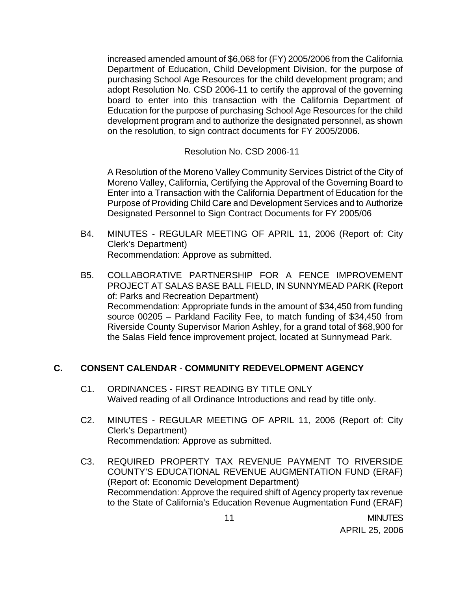increased amended amount of \$6,068 for (FY) 2005/2006 from the California Department of Education, Child Development Division, for the purpose of purchasing School Age Resources for the child development program; and adopt Resolution No. CSD 2006-11 to certify the approval of the governing board to enter into this transaction with the California Department of Education for the purpose of purchasing School Age Resources for the child development program and to authorize the designated personnel, as shown on the resolution, to sign contract documents for FY 2005/2006.

Resolution No. CSD 2006-11

 A Resolution of the Moreno Valley Community Services District of the City of Moreno Valley, California, Certifying the Approval of the Governing Board to Enter into a Transaction with the California Department of Education for the Purpose of Providing Child Care and Development Services and to Authorize Designated Personnel to Sign Contract Documents for FY 2005/06

- B4. MINUTES REGULAR MEETING OF APRIL 11, 2006 (Report of: City Clerk's Department) Recommendation: Approve as submitted.
- B5. COLLABORATIVE PARTNERSHIP FOR A FENCE IMPROVEMENT PROJECT AT SALAS BASE BALL FIELD, IN SUNNYMEAD PARK **(**Report of: Parks and Recreation Department) Recommendation: Appropriate funds in the amount of \$34,450 from funding source 00205 – Parkland Facility Fee, to match funding of \$34,450 from Riverside County Supervisor Marion Ashley, for a grand total of \$68,900 for the Salas Field fence improvement project, located at Sunnymead Park.

## **C. CONSENT CALENDAR** - **COMMUNITY REDEVELOPMENT AGENCY**

- C1. ORDINANCES FIRST READING BY TITLE ONLY Waived reading of all Ordinance Introductions and read by title only.
- C2. MINUTES REGULAR MEETING OF APRIL 11, 2006 (Report of: City Clerk's Department) Recommendation: Approve as submitted.
- C3. REQUIRED PROPERTY TAX REVENUE PAYMENT TO RIVERSIDE COUNTY'S EDUCATIONAL REVENUE AUGMENTATION FUND (ERAF) (Report of: Economic Development Department) Recommendation: Approve the required shift of Agency property tax revenue to the State of California's Education Revenue Augmentation Fund (ERAF)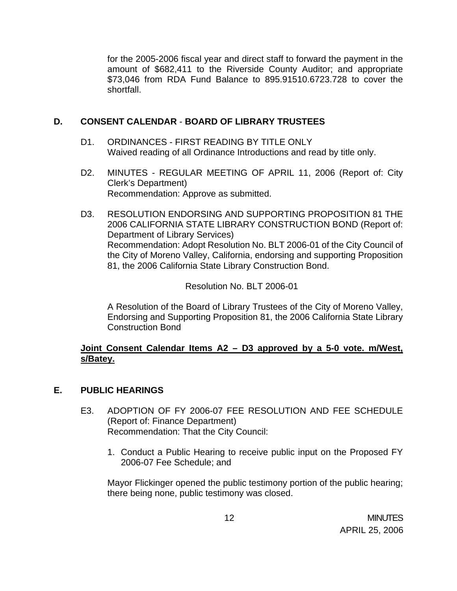for the 2005-2006 fiscal year and direct staff to forward the payment in the amount of \$682,411 to the Riverside County Auditor; and appropriate \$73,046 from RDA Fund Balance to 895.91510.6723.728 to cover the shortfall.

## **D. CONSENT CALENDAR** - **BOARD OF LIBRARY TRUSTEES**

- D1. ORDINANCES FIRST READING BY TITLE ONLY Waived reading of all Ordinance Introductions and read by title only.
- D2. MINUTES REGULAR MEETING OF APRIL 11, 2006 (Report of: City Clerk's Department) Recommendation: Approve as submitted.
- D3. RESOLUTION ENDORSING AND SUPPORTING PROPOSITION 81 THE 2006 CALIFORNIA STATE LIBRARY CONSTRUCTION BOND (Report of: Department of Library Services) Recommendation: Adopt Resolution No. BLT 2006-01 of the City Council of the City of Moreno Valley, California, endorsing and supporting Proposition 81, the 2006 California State Library Construction Bond.

### Resolution No. BLT 2006-01

A Resolution of the Board of Library Trustees of the City of Moreno Valley, Endorsing and Supporting Proposition 81, the 2006 California State Library Construction Bond

## **Joint Consent Calendar Items A2 – D3 approved by a 5-0 vote. m/West, s/Batey.**

### **E. PUBLIC HEARINGS**

- E3. ADOPTION OF FY 2006-07 FEE RESOLUTION AND FEE SCHEDULE (Report of: Finance Department) Recommendation: That the City Council:
	- 1. Conduct a Public Hearing to receive public input on the Proposed FY 2006-07 Fee Schedule; and

 Mayor Flickinger opened the public testimony portion of the public hearing; there being none, public testimony was closed.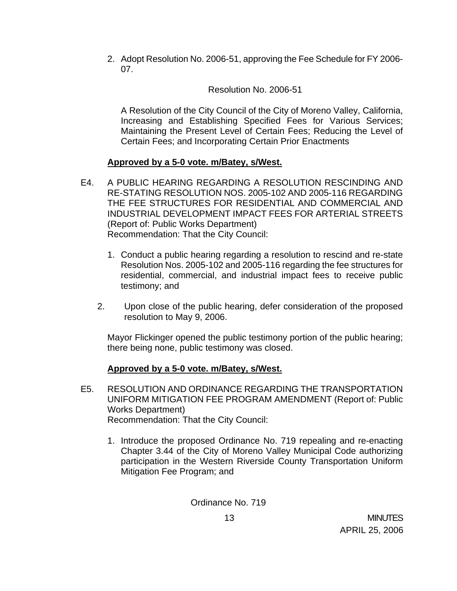2. Adopt Resolution No. 2006-51, approving the Fee Schedule for FY 2006- 07.

Resolution No. 2006-51

 A Resolution of the City Council of the City of Moreno Valley, California, Increasing and Establishing Specified Fees for Various Services; Maintaining the Present Level of Certain Fees; Reducing the Level of Certain Fees; and Incorporating Certain Prior Enactments

# **Approved by a 5-0 vote. m/Batey, s/West.**

- E4. A PUBLIC HEARING REGARDING A RESOLUTION RESCINDING AND RE-STATING RESOLUTION NOS. 2005-102 AND 2005-116 REGARDING THE FEE STRUCTURES FOR RESIDENTIAL AND COMMERCIAL AND INDUSTRIAL DEVELOPMENT IMPACT FEES FOR ARTERIAL STREETS (Report of: Public Works Department) Recommendation: That the City Council:
	- 1. Conduct a public hearing regarding a resolution to rescind and re-state Resolution Nos. 2005-102 and 2005-116 regarding the fee structures for residential, commercial, and industrial impact fees to receive public testimony; and
	- 2. Upon close of the public hearing, defer consideration of the proposed resolution to May 9, 2006.

 Mayor Flickinger opened the public testimony portion of the public hearing; there being none, public testimony was closed.

# **Approved by a 5-0 vote. m/Batey, s/West.**

- E5. RESOLUTION AND ORDINANCE REGARDING THE TRANSPORTATION UNIFORM MITIGATION FEE PROGRAM AMENDMENT (Report of: Public Works Department) Recommendation: That the City Council:
	- 1. Introduce the proposed Ordinance No. 719 repealing and re-enacting Chapter 3.44 of the City of Moreno Valley Municipal Code authorizing participation in the Western Riverside County Transportation Uniform Mitigation Fee Program; and

Ordinance No. 719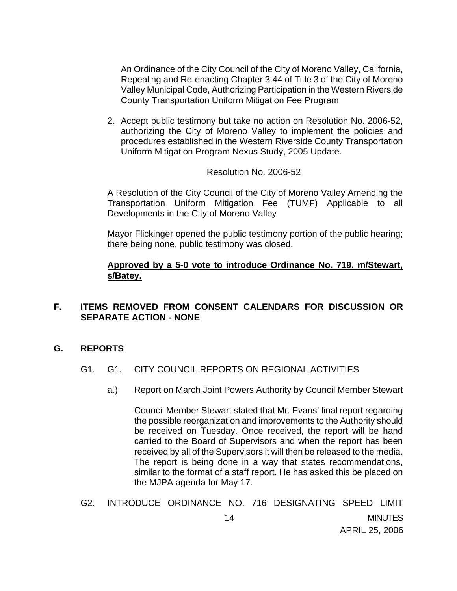An Ordinance of the City Council of the City of Moreno Valley, California, Repealing and Re-enacting Chapter 3.44 of Title 3 of the City of Moreno Valley Municipal Code, Authorizing Participation in the Western Riverside County Transportation Uniform Mitigation Fee Program

2. Accept public testimony but take no action on Resolution No. 2006-52, authorizing the City of Moreno Valley to implement the policies and procedures established in the Western Riverside County Transportation Uniform Mitigation Program Nexus Study, 2005 Update.

#### Resolution No. 2006-52

A Resolution of the City Council of the City of Moreno Valley Amending the Transportation Uniform Mitigation Fee (TUMF) Applicable to all Developments in the City of Moreno Valley

Mayor Flickinger opened the public testimony portion of the public hearing; there being none, public testimony was closed.

## **Approved by a 5-0 vote to introduce Ordinance No. 719. m/Stewart, s/Batey.**

## **F. ITEMS REMOVED FROM CONSENT CALENDARS FOR DISCUSSION OR SEPARATE ACTION - NONE**

### **G. REPORTS**

- G1. G1. CITY COUNCIL REPORTS ON REGIONAL ACTIVITIES
	- a.) Report on March Joint Powers Authority by Council Member Stewart

 Council Member Stewart stated that Mr. Evans' final report regarding the possible reorganization and improvements to the Authority should be received on Tuesday. Once received, the report will be hand carried to the Board of Supervisors and when the report has been received by all of the Supervisors it will then be released to the media. The report is being done in a way that states recommendations, similar to the format of a staff report. He has asked this be placed on the MJPA agenda for May 17.

G2. INTRODUCE ORDINANCE NO. 716 DESIGNATING SPEED LIMIT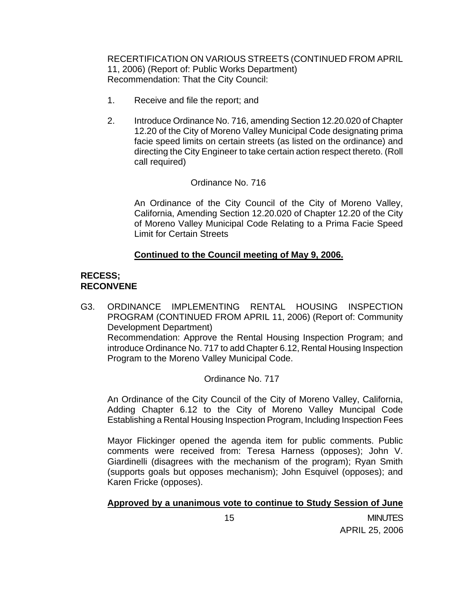RECERTIFICATION ON VARIOUS STREETS (CONTINUED FROM APRIL 11, 2006) (Report of: Public Works Department) Recommendation: That the City Council:

- 1. Receive and file the report; and
- 2. Introduce Ordinance No. 716, amending Section 12.20.020 of Chapter 12.20 of the City of Moreno Valley Municipal Code designating prima facie speed limits on certain streets (as listed on the ordinance) and directing the City Engineer to take certain action respect thereto. (Roll call required)

## Ordinance No. 716

An Ordinance of the City Council of the City of Moreno Valley, California, Amending Section 12.20.020 of Chapter 12.20 of the City of Moreno Valley Municipal Code Relating to a Prima Facie Speed Limit for Certain Streets

## **Continued to the Council meeting of May 9, 2006.**

## **RECESS; RECONVENE**

G3. ORDINANCE IMPLEMENTING RENTAL HOUSING INSPECTION PROGRAM (CONTINUED FROM APRIL 11, 2006) (Report of: Community Development Department) Recommendation: Approve the Rental Housing Inspection Program; and introduce Ordinance No. 717 to add Chapter 6.12, Rental Housing Inspection Program to the Moreno Valley Municipal Code.

### Ordinance No. 717

An Ordinance of the City Council of the City of Moreno Valley, California, Adding Chapter 6.12 to the City of Moreno Valley Muncipal Code Establishing a Rental Housing Inspection Program, Including Inspection Fees

Mayor Flickinger opened the agenda item for public comments. Public comments were received from: Teresa Harness (opposes); John V. Giardinelli (disagrees with the mechanism of the program); Ryan Smith (supports goals but opposes mechanism); John Esquivel (opposes); and Karen Fricke (opposes).

## **Approved by a unanimous vote to continue to Study Session of June**

 15 MINUTES APRIL 25, 2006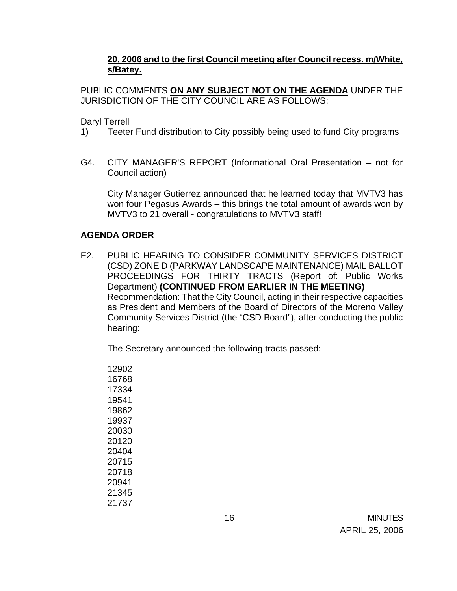## **20, 2006 and to the first Council meeting after Council recess. m/White, s/Batey.**

PUBLIC COMMENTS **ON ANY SUBJECT NOT ON THE AGENDA** UNDER THE JURISDICTION OF THE CITY COUNCIL ARE AS FOLLOWS:

Daryl Terrell

- 1) Teeter Fund distribution to City possibly being used to fund City programs
- G4. CITY MANAGER'S REPORT (Informational Oral Presentation not for Council action)

 City Manager Gutierrez announced that he learned today that MVTV3 has won four Pegasus Awards – this brings the total amount of awards won by MVTV3 to 21 overall - congratulations to MVTV3 staff!

### **AGENDA ORDER**

E2. PUBLIC HEARING TO CONSIDER COMMUNITY SERVICES DISTRICT (CSD) ZONE D (PARKWAY LANDSCAPE MAINTENANCE) MAIL BALLOT PROCEEDINGS FOR THIRTY TRACTS (Report of: Public Works Department) **(CONTINUED FROM EARLIER IN THE MEETING)**  Recommendation: That the City Council, acting in their respective capacities as President and Members of the Board of Directors of the Moreno Valley Community Services District (the "CSD Board"), after conducting the public hearing:

The Secretary announced the following tracts passed:

 16 MINUTES APRIL 25, 2006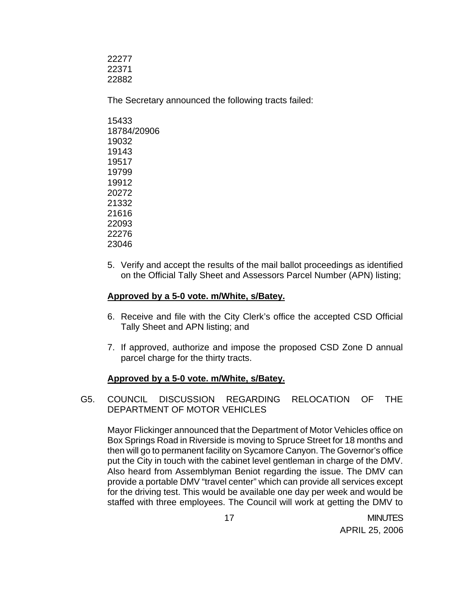22277 22371 22882

The Secretary announced the following tracts failed:

5. Verify and accept the results of the mail ballot proceedings as identified on the Official Tally Sheet and Assessors Parcel Number (APN) listing;

### **Approved by a 5-0 vote. m/White, s/Batey.**

- 6. Receive and file with the City Clerk's office the accepted CSD Official Tally Sheet and APN listing; and
- 7. If approved, authorize and impose the proposed CSD Zone D annual parcel charge for the thirty tracts.

## **Approved by a 5-0 vote. m/White, s/Batey.**

G5. COUNCIL DISCUSSION REGARDING RELOCATION OF THE DEPARTMENT OF MOTOR VEHICLES

 Mayor Flickinger announced that the Department of Motor Vehicles office on Box Springs Road in Riverside is moving to Spruce Street for 18 months and then will go to permanent facility on Sycamore Canyon. The Governor's office put the City in touch with the cabinet level gentleman in charge of the DMV. Also heard from Assemblyman Beniot regarding the issue. The DMV can provide a portable DMV "travel center" which can provide all services except for the driving test. This would be available one day per week and would be staffed with three employees. The Council will work at getting the DMV to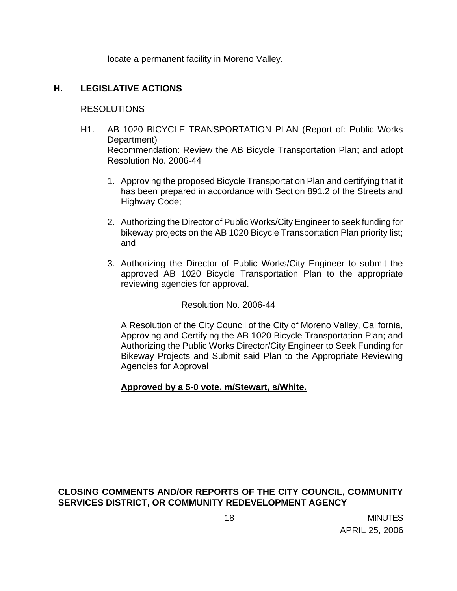locate a permanent facility in Moreno Valley.

## **H. LEGISLATIVE ACTIONS**

### RESOLUTIONS

- H1. AB 1020 BICYCLE TRANSPORTATION PLAN (Report of: Public Works Department) Recommendation: Review the AB Bicycle Transportation Plan; and adopt Resolution No. 2006-44
	- 1. Approving the proposed Bicycle Transportation Plan and certifying that it has been prepared in accordance with Section 891.2 of the Streets and Highway Code;
	- 2. Authorizing the Director of Public Works/City Engineer to seek funding for bikeway projects on the AB 1020 Bicycle Transportation Plan priority list; and
	- 3. Authorizing the Director of Public Works/City Engineer to submit the approved AB 1020 Bicycle Transportation Plan to the appropriate reviewing agencies for approval.

Resolution No. 2006-44

A Resolution of the City Council of the City of Moreno Valley, California, Approving and Certifying the AB 1020 Bicycle Transportation Plan; and Authorizing the Public Works Director/City Engineer to Seek Funding for Bikeway Projects and Submit said Plan to the Appropriate Reviewing Agencies for Approval

### **Approved by a 5-0 vote. m/Stewart, s/White.**

## **CLOSING COMMENTS AND/OR REPORTS OF THE CITY COUNCIL, COMMUNITY SERVICES DISTRICT, OR COMMUNITY REDEVELOPMENT AGENCY**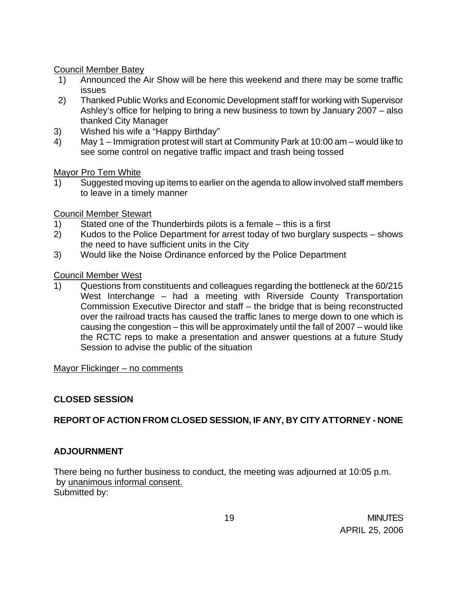## Council Member Batey

- 1) Announced the Air Show will be here this weekend and there may be some traffic issues
- 2) Thanked Public Works and Economic Development staff for working with Supervisor Ashley's office for helping to bring a new business to town by January 2007 – also thanked City Manager
- 3) Wished his wife a "Happy Birthday"
- 4) May 1 Immigration protest will start at Community Park at 10:00 am would like to see some control on negative traffic impact and trash being tossed

## Mayor Pro Tem White

1) Suggested moving up items to earlier on the agenda to allow involved staff members to leave in a timely manner

# Council Member Stewart

- 1) Stated one of the Thunderbirds pilots is a female this is a first
- 2) Kudos to the Police Department for arrest today of two burglary suspects shows the need to have sufficient units in the City
- 3) Would like the Noise Ordinance enforced by the Police Department

# Council Member West

1) Questions from constituents and colleagues regarding the bottleneck at the 60/215 West Interchange – had a meeting with Riverside County Transportation Commission Executive Director and staff – the bridge that is being reconstructed over the railroad tracts has caused the traffic lanes to merge down to one which is causing the congestion – this will be approximately until the fall of 2007 – would like the RCTC reps to make a presentation and answer questions at a future Study Session to advise the public of the situation

## Mayor Flickinger - no comments

# **CLOSED SESSION**

# **REPORT OF ACTION FROM CLOSED SESSION, IF ANY, BY CITY ATTORNEY - NONE**

# **ADJOURNMENT**

There being no further business to conduct, the meeting was adjourned at 10:05 p.m. by unanimous informal consent. Submitted by: